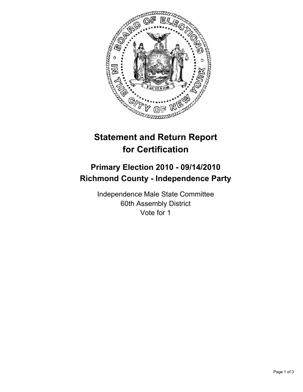

# **Statement and Return Report for Certification**

## **Primary Election 2010 - 09/14/2010 Richmond County - Independence Party**

Independence Male State Committee 60th Assembly District Vote for 1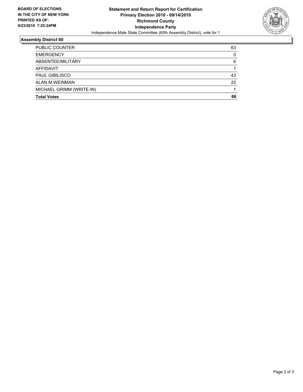

### **Assembly District 60**

| <b>Total Votes</b>       | 66 |
|--------------------------|----|
| MICHAEL GRIMM (WRITE-IN) |    |
| ALAN M WEINMAN           | 22 |
| <b>PAUL GIBILISCO</b>    | 43 |
| AFFIDAVIT                |    |
| ABSENTEE/MILITARY        | 6  |
| <b>EMERGENCY</b>         | 0  |
| PUBLIC COUNTER           | 63 |